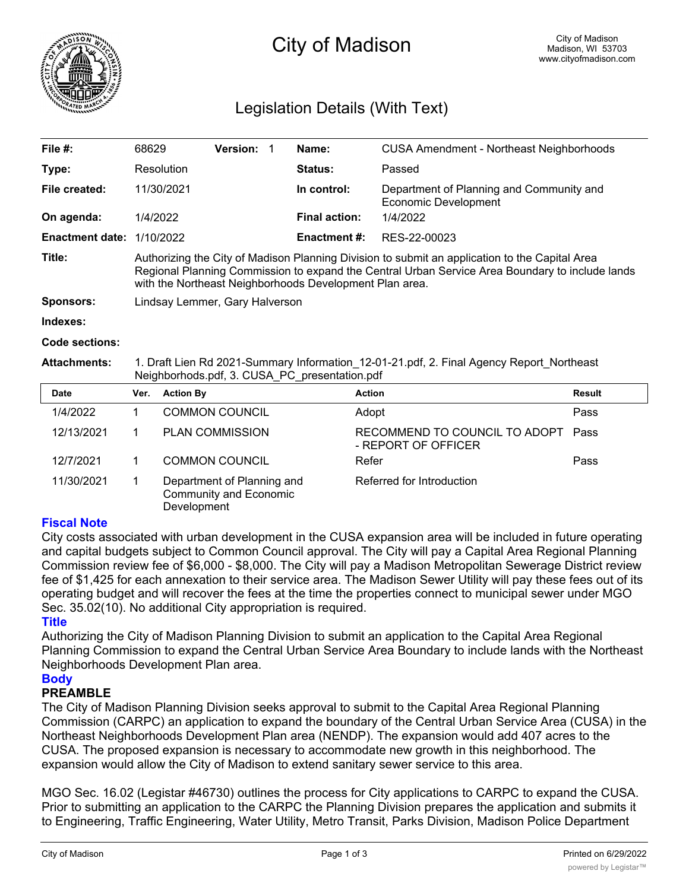

# City of Madison

## Legislation Details (With Text)

| File $#$ :             | 68629                                                                                                                                                                                                                                                        | <b>Version:</b> |             | Name:                                                                   | CUSA Amendment - Northeast Neighborhoods |  |  |
|------------------------|--------------------------------------------------------------------------------------------------------------------------------------------------------------------------------------------------------------------------------------------------------------|-----------------|-------------|-------------------------------------------------------------------------|------------------------------------------|--|--|
| Type:                  | Resolution                                                                                                                                                                                                                                                   |                 |             | Status:                                                                 | Passed                                   |  |  |
| File created:          | 11/30/2021                                                                                                                                                                                                                                                   |                 | In control: | Department of Planning and Community and<br><b>Economic Development</b> |                                          |  |  |
| On agenda:             | 1/4/2022                                                                                                                                                                                                                                                     |                 |             | <b>Final action:</b>                                                    | 1/4/2022                                 |  |  |
| <b>Enactment date:</b> | 1/10/2022                                                                                                                                                                                                                                                    |                 |             | <b>Enactment #:</b>                                                     | RES-22-00023                             |  |  |
| Title:                 | Authorizing the City of Madison Planning Division to submit an application to the Capital Area<br>Regional Planning Commission to expand the Central Urban Service Area Boundary to include lands<br>with the Northeast Neighborhoods Development Plan area. |                 |             |                                                                         |                                          |  |  |
| Sponsors:              | Lindsay Lemmer, Gary Halverson                                                                                                                                                                                                                               |                 |             |                                                                         |                                          |  |  |
| Indexes:               |                                                                                                                                                                                                                                                              |                 |             |                                                                         |                                          |  |  |
| Code sections:         |                                                                                                                                                                                                                                                              |                 |             |                                                                         |                                          |  |  |
|                        |                                                                                                                                                                                                                                                              |                 |             |                                                                         |                                          |  |  |

**Attachments:** 1. Draft Lien Rd 2021-Summary Information\_12-01-21.pdf, 2. Final Agency Report\_Northeast Neighborhods.pdf, 3. CUSA\_PC\_presentation.pdf

| Date       | Ver. | <b>Action By</b>                                                    | <b>Action</b>                                        | Result |
|------------|------|---------------------------------------------------------------------|------------------------------------------------------|--------|
| 1/4/2022   |      | <b>COMMON COUNCIL</b>                                               | Adopt                                                | Pass   |
| 12/13/2021 |      | <b>PLAN COMMISSION</b>                                              | RECOMMEND TO COUNCIL TO ADOPT<br>- REPORT OF OFFICER | Pass   |
| 12/7/2021  |      | <b>COMMON COUNCIL</b>                                               | Refer                                                | Pass   |
| 11/30/2021 |      | Department of Planning and<br>Community and Economic<br>Development | Referred for Introduction                            |        |

#### **Fiscal Note**

City costs associated with urban development in the CUSA expansion area will be included in future operating and capital budgets subject to Common Council approval. The City will pay a Capital Area Regional Planning Commission review fee of \$6,000 - \$8,000. The City will pay a Madison Metropolitan Sewerage District review fee of \$1,425 for each annexation to their service area. The Madison Sewer Utility will pay these fees out of its operating budget and will recover the fees at the time the properties connect to municipal sewer under MGO Sec. 35.02(10). No additional City appropriation is required.

#### **Title**

Authorizing the City of Madison Planning Division to submit an application to the Capital Area Regional Planning Commission to expand the Central Urban Service Area Boundary to include lands with the Northeast Neighborhoods Development Plan area.

#### **Body**

### **PREAMBLE**

The City of Madison Planning Division seeks approval to submit to the Capital Area Regional Planning Commission (CARPC) an application to expand the boundary of the Central Urban Service Area (CUSA) in the Northeast Neighborhoods Development Plan area (NENDP). The expansion would add 407 acres to the CUSA. The proposed expansion is necessary to accommodate new growth in this neighborhood. The expansion would allow the City of Madison to extend sanitary sewer service to this area.

MGO Sec. 16.02 (Legistar #46730) outlines the process for City applications to CARPC to expand the CUSA. Prior to submitting an application to the CARPC the Planning Division prepares the application and submits it to Engineering, Traffic Engineering, Water Utility, Metro Transit, Parks Division, Madison Police Department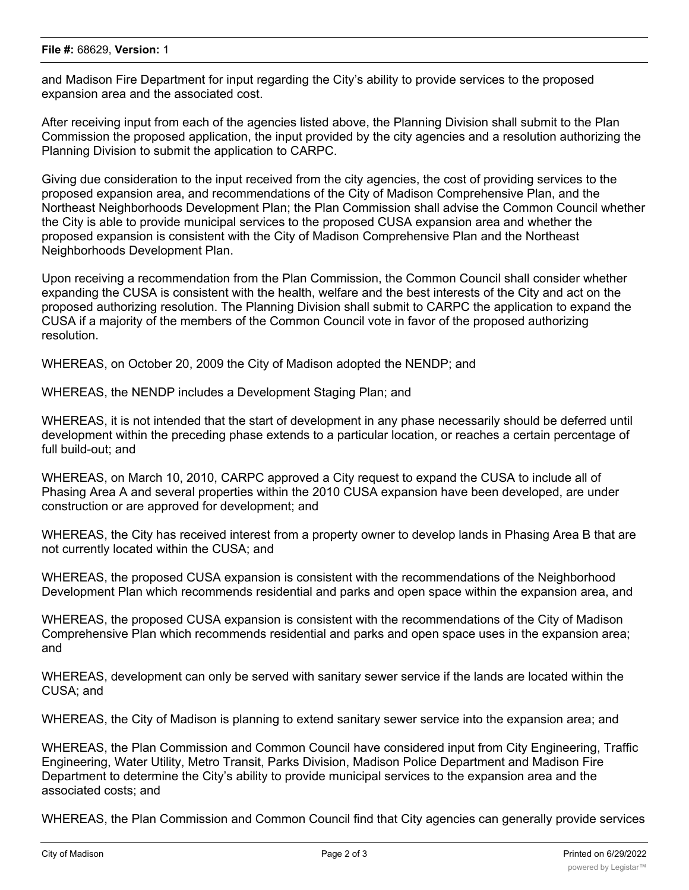and Madison Fire Department for input regarding the City's ability to provide services to the proposed expansion area and the associated cost.

After receiving input from each of the agencies listed above, the Planning Division shall submit to the Plan Commission the proposed application, the input provided by the city agencies and a resolution authorizing the Planning Division to submit the application to CARPC.

Giving due consideration to the input received from the city agencies, the cost of providing services to the proposed expansion area, and recommendations of the City of Madison Comprehensive Plan, and the Northeast Neighborhoods Development Plan; the Plan Commission shall advise the Common Council whether the City is able to provide municipal services to the proposed CUSA expansion area and whether the proposed expansion is consistent with the City of Madison Comprehensive Plan and the Northeast Neighborhoods Development Plan.

Upon receiving a recommendation from the Plan Commission, the Common Council shall consider whether expanding the CUSA is consistent with the health, welfare and the best interests of the City and act on the proposed authorizing resolution. The Planning Division shall submit to CARPC the application to expand the CUSA if a majority of the members of the Common Council vote in favor of the proposed authorizing resolution.

WHEREAS, on October 20, 2009 the City of Madison adopted the NENDP; and

WHEREAS, the NENDP includes a Development Staging Plan; and

WHEREAS, it is not intended that the start of development in any phase necessarily should be deferred until development within the preceding phase extends to a particular location, or reaches a certain percentage of full build-out; and

WHEREAS, on March 10, 2010, CARPC approved a City request to expand the CUSA to include all of Phasing Area A and several properties within the 2010 CUSA expansion have been developed, are under construction or are approved for development; and

WHEREAS, the City has received interest from a property owner to develop lands in Phasing Area B that are not currently located within the CUSA; and

WHEREAS, the proposed CUSA expansion is consistent with the recommendations of the Neighborhood Development Plan which recommends residential and parks and open space within the expansion area, and

WHEREAS, the proposed CUSA expansion is consistent with the recommendations of the City of Madison Comprehensive Plan which recommends residential and parks and open space uses in the expansion area; and

WHEREAS, development can only be served with sanitary sewer service if the lands are located within the CUSA; and

WHEREAS, the City of Madison is planning to extend sanitary sewer service into the expansion area; and

WHEREAS, the Plan Commission and Common Council have considered input from City Engineering, Traffic Engineering, Water Utility, Metro Transit, Parks Division, Madison Police Department and Madison Fire Department to determine the City's ability to provide municipal services to the expansion area and the associated costs; and

WHEREAS, the Plan Commission and Common Council find that City agencies can generally provide services